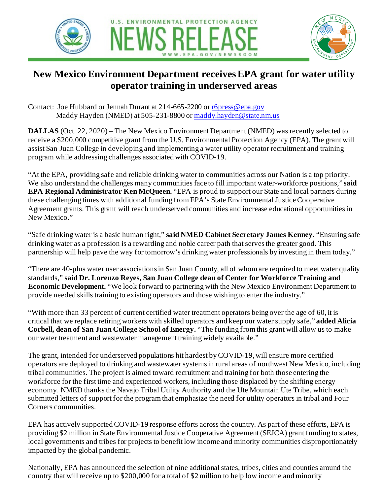



## **New Mexico Environment Department receives EPA grant for water utility operator training in underserved areas**

Contact: Joe Hubbard or Jennah Durant at 214-665-2200 o[r r6press@epa.gov](mailto:r6press@epa.gov) Maddy Hayden (NMED) at 505-231-8800 o[r maddy.hayden@state.nm.us](mailto:maddy.hayden@state.nm.us)

**DALLAS** (Oct. 22, 2020) – The New Mexico Environment Department (NMED) was recently selected to receive a \$200,000 competitive grant from the U.S. Environmental Protection Agency (EPA). The grant will assist San Juan College in developing and implementing a water utility operator recruitment and training program while addressing challenges associated with COVID-19.

"At the EPA, providing safe and reliable drinking water to communities across our Nation is a top priority. We also understand the challenges many communities face to fill important water-workforce positions," **said EPA Regional Administrator Ken McQueen.** "EPA is proud to support our State and local partners during these challenging times with additional funding from EPA's State Environmental Justice Cooperative Agreement grants. This grant will reach underserved communities and increase educational opportunities in New Mexico."

"Safe drinking water is a basic human right," **said NMED Cabinet Secretary James Kenney.** "Ensuring safe drinking water as a profession is a rewarding and noble career path that serves the greater good. This partnership will help pave the way for tomorrow's drinking water professionals by investing in them today."

"There are 40-plus water user associations in San Juan County, all of whom are required to meet water quality standards," **said Dr. Lorenzo Reyes, San Juan College dean of Center for Workforce Training and Economic Development.** "We look forward to partnering with the New Mexico Environment Department to provide needed skills training to existing operators and those wishing to enter the industry."

"With more than 33 percent of current certified water treatment operators being over the age of 60, it is critical that we replace retiring workers with skilled operators and keep our water supply safe," **added Alicia Corbell, dean of San Juan College School of Energy.** "The funding from this grant will allow us to make our water treatment and wastewater management training widely available."

The grant, intended for underserved populations hit hardest by COVID-19, will ensure more certified operators are deployed to drinking and wastewater systems in rural areas of northwest New Mexico, including tribal communities. The project is aimed toward recruitment and training for both those entering the workforce for the first time and experienced workers, including those displaced by the shifting energy economy. NMED thanks the Navajo Tribal Utility Authority and the Ute Mountain Ute Tribe, which each submitted letters of support for the program that emphasize the need for utility operators in tribal and Four Corners communities.

EPA has actively supported COVID-19 response efforts across the country. As part of these efforts, EPA is providing \$2 million in State Environmental Justice Cooperative Agreement (SEJCA) grant funding to states, local governments and tribes for projects to benefit low income and minority communities disproportionately impacted by the global pandemic.

Nationally, EPA has announced the selection of nine additional states, tribes, cities and counties around the country that will receive up to \$200,000 for a total of \$2 million to help low income and minority